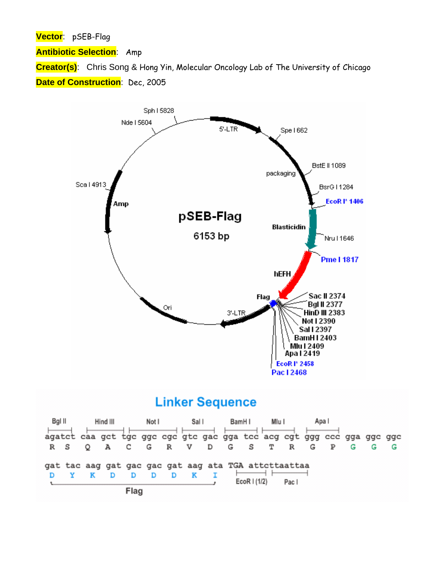**Vector**: pSEB-Flag

**Antibiotic Selection**: Amp

**Creator(s)**: Chris Song & Hong Yin, Molecular Oncology Lab of The University of Chicago **Date of Construction**: Dec, 2005



## **Linker Sequence**

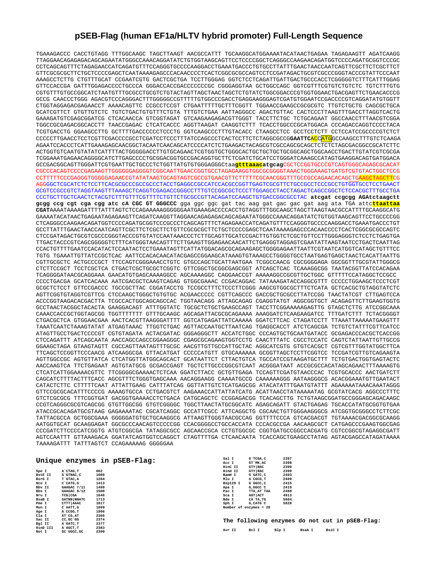## **pSEB-Flag (human EF1a/HLTV hybrid promoter) Full-Length Sequence**

TGAAAGACCC CACCTGTAGG TTTGGCAAGC TAGCTTAAGT AACGCCATTT TGCAAGGCATGGAAAATACATAACTGAGAA TAGAGAAGTT AGATCAAGG TTAGGAACAGAGAGACAGCAGAATATGGGCCAAACAGGATATCTGTGGTAAGCAGTTCCTCCCCGGCTCAGGGCCAAGAACAGATGGTCCCCAGATGCGGTCCCGC CCTCAGCAGTTTCTAGAGAACCATCAGATGTTTCCAGGGTGCCCCAAGGACCTGAAATGACCCTGTGCCTTATTTGAACTAACCAATCAGTTCGCTTCTCGCTTCT GTTCGCGCGCTTCTGCTCCCCGAGCTCAATAAAAGAGCCCACAACCCCTCACTCGGCGCGCCAGTCCTCCGATAGACTGCGTCGCCCGGGTACCCGTATTCCCAAT AAAGCCTCTTG CTGTTTGCAT CCGAATCGTG GACTCGCTGA TCCTTGGGAG GGTCTCCTCAGATTGATTGACTGCCCACCTCGGGGGTCTTTCATTTGGAG GTTCCACCGA GATTTGGAGACCCCTGCCCA GGGACCACCGACCCCCCCGC CGGGAGGTAA GCTGGCCAGC GGTCGTTTCGTGTCTGTCTC TGTCTTTGTG CGTGTTTGTGCCGGCATCTAATGTTTGCGCCTGCGTCTGTACTAGTTAGCTAACTAGCTCTGTATCTGGCGGACCCGTGGTGGAACTGACGAGTTCTGAACACCCG GCCG CAACCCTGGG AGACGTCCCAGGGACTTTGGGGGCCGTTTTTGTGGCCCGACCTGAGGAAGGGAGTCGATGTGGAATCCGACCCCGTCAGGATATGTGGTT CTGGTAGGAGACGAGAACCT AAAACAGTTC CCGCCTCCGT CTGAATTTTTGCTTTCGGTT TGGAACCGAAGCCGCGCGTC TTGTCTGCTG CAGCGCTGCA GCATCGTTCT GTGTTGTCTC TGTCTGACTGTGTTTCTGTA TTTGTCTGAA AATTAGGGCC AGACTGTTAC CACTCCCTTAAGTTTGACCTTAGGTCACTG GAAAGATGTCGAGCGGATCG CTCACAACCA GTCGGTAGAT GTCAAGAAGAGACGTTGGGT TACCTTCTGC TCTGCAGAAT GGCCAACCTTTAACGTCGGA TGGCCGCGAGACGGCACCTT TAACCGAGAC CTCATCACCC AGGTTAAGAT CAAGGTCTTT TCACCTGGCCCGCATGGACA CCCAGACCAGGTCCCCTACA TCGTGACCTG GGAAGCCTTG GCTTTTGACCCCCCTCCCTG GGTCAAGCCCTTTGTACACC CTAAGCCTCC GCCTCCTCTT CCTCCATCCGCCCCGTCTCT CCCCCTTGAACCTCCTCGTTCGACCCCGCCTCGATCCTCCCTTTATCCAGCCCTCACTCCTTCTCTAGGCGCCG**GAATTC**ACCATGGCCAAGCCTTTGTCTCAAGA AGAATCCACCCTCATTGAAAGAGCAACGGCTACAATCAACAGCATCCCCATCTCTGAAGACTACAGCGTCGCCAGCGCAGCTCTCTCTAGCGACGGCCGCATCTTC ACTGGTGTCAATGTATATCATTTTACTGGGGGACCTTGTGCAGAACTCGTGGTGCTGGGCACTGCTGCTGCTGCGGCAGCTGGCAACCTGACTTGTATCGTCGCGA TCGGAAATGAGAACAGGGGCATCTTGAGCCCCTGCGGACGGTGCCGACAGGTGCTTCTCGATCTGCATCCTGGGATCAAAGCCATAGTGAAGGACAGTGATGGACA GCCGACGGCAGTTGGGATTCGTGAATTGCTGCCCTCTGGTTATGTGTGGGAGGGCtaa**gtttaaacatgcag**CGCTCCGGTGCCCGTCAGTGGGCAGAGCGCACAT CGCCCACAGTCCCCGAGAAGTTGGGGGGAGGGGTCGGCAATTGAACCGGTGCCTAGAGAAGGTGGCGCGGGGTAAACTGGGAAAGTGATGTCGTGTACTGGCTCCG CCTTTTTCCCGAGGGTGGGGGAGAACCGTATATAAGTGCAGTAGTCGCCGTGAACGTTCTTTTTCGCAACGGGTTTGCCGCCAGAACACAGCTGAAGCTAGCTTCG AGGGGCTCGCATCTCTCCTTCACGCGCCCGCCGCCCTACCTGAGGCCGCCATCCACGCCGGTTGAGTCGCGTTCTGCCGCCTCCCGCCTGTGGTGCCTCCTGAACT GCGTCCGCCGTCTAGGTAAGTTTAAAGCTCAGGTCGAGACCGGGCCTTTGTCCGGCGCTCCCTTGGAGCCTACCTAGACTCAGCCGGCTCTCCACGCTTTGCCTGA CCCTGCTTGCTCAACTCTACGTCTTTGTTTCGTTTTCTGTTCTGCGCCGTTACAGATCCAAGCTGTGACCGGCGCCTAC **atcgat ccgcgg AGAtctaagctt gcgg ccg cgt cga cgg atc cA CGC GT GGGCCC** gga ggc ggc gat tac aag gat gac gac gat aag ata TGA attc**ttaattaa CGAT**AAAATAAAAGATTTTATTTAGTCTCCAGAAAAAGGGGGGAATGAAAGACCCCACCTGTAGGTTTGGCAAGCTAGCTTAAGTAACGCCATTTTGCAAGGCATG GAAAATACATAACTGAGAATAGAGAAGTTCAGATCAAGGTTAGGAACAGAGAGACAGCAGAATATGGGCCAAACAGGATATCTGTGGTAAGCAGTTCCTGCCCCGG CTCAGGGCCAAGAACAGATGGTCCCCAGATGCGGTCCCGCCCTCAGCAGTTTCTAGAGAACCATCAGATGTTTCCAGGGTGCCCCAAGGACCTGAAATGACCCTGT GCCTTATTTGAACTAACCAATCAGTTCGCTTCTCGCTTCTGTTCGCGCGCTTCTGCTCCCCGAGCTCAATAAAAGAGCCCACAACCCCTCACTCGGCGCGCCAGTC CTCCGATAGACTGCGTCGCCCGGGTACCCGTGTATCCAATAAACCCTCTTGCAGTTGCATCCGACTTGTGGTCTCGCTGTTCCTTGGGAGGGTCTCCTCTGAGTGA TTGACTACCCGTCAGCGGGGGTCTTTCATGGGTAACAGTTTCTTGAAGTTGGAGAACAACATTCTGAGGGTAGGAGTCGAATATTAAGTAATCCTGACTCAATTAG CCACTGTTTTGAATCCACATACTCCAATACTCCTGAAATAGTTCATTATGGACAGCGCAGAAGAGCTGGGGAGAATTAATTCGTAATCATGGTCATAGCTGTTTCC TGTG TGAAATTGTTATCCGCTCAC AATTCCACACAACATACGAGCCGGAAGCATAAAGTGTAAAGCCTGGGGTGCCTAATGAGTGAGCTAACTCACATTAATTG CGTTGCGCTC ACTGCCCGCT TTCCAGTCGGGAAACCTGTC GTGCCAGCTGCATTAATGAA TCGGCCAACG CGCGGGGAGA GGCGGTTTGCGTATTGGGCG CTCTTCCGCT TCCTCGCTCA CTGACTCGCTGCGCTCGGTC GTTCGGCTGCGGCGAGCGGT ATCAGCTCAC TCAAAGGCGG TAATACGGTTATCCACAGAA TCAGGGGATAACGCAGGAAA GAACATGTGAGCAAAAGGCC AGCAAAAGGC CAGGAACCGT AAAAAGGCCGCGTTGCTGGC GTTTTTCCATAGGCTCCGCC CCCCTGACGA GCATCACAAA AATCGACGCTCAAGTCAGAG GTGGCGAAAC CCGACAGGAC TATAAAGATACCAGGCGTTT CCCCCTGGAAGCTCCCTCGT GCGCTCTCCT GTTCCGACCC TGCCGCTTAC CGGATACCTG TCCGCCTTTCTCCCTTCGGG AAGCGTGGCGCTTTCTCATA GCTCACGCTGTAGGTATCTC AGTTCGGTGTAGGTCGTTCG CTCCAAGCTGGGCTGTGTGC ACGAACCCCC CGTTCAGCCC GACCGCTGCGCCTTATCCGG TAACTATCGT CTTGAGTCCA ACCCGGTAAGACACGACTTA TCGCCACTGGCAGCAGCCAC TGGTAACAGG ATTAGCAGAG CGAGGTATGT AGGCGGTGCT ACAGAGTTCTTGAAGTGGTG GCCTAACTACGGCTACACTA GAAGGACAGT ATTTGGTATC TGCGCTCTGCTGAAGCCAGT TACCTTCGGAAAAAGAGTTG GTAGCTCTTG ATCCGGCAAA CAAACCACCGCTGGTAGCGG TGGTTTTTTT GTTTGCAAGC AGCAGATTACGCGCAGAAAA AAAGGATCTCAAGAAGATCC TTTGATCTTT TCTACGGGGT CTGACGCTCA GTGGAACGAA AACTCACGTTAAGGGATTTT GGTCATGAGATTATCAAAAA GGATCTTCAC CTAGATCCTT TTAAATTAAAAATGAAGTTT TAAATCAATCTAAAGTATAT ATGAGTAAAC TTGGTCTGAC AGTTACCAATGCTTAATCAG TGAGGCACCT ATCTCAGCGA TCTGTCTATTTCGTTCATCC ATAGTTGCCTGACTCCCCGT CGTGTAGATA ACTACGATAC GGGAGGGCTT ACCATCTGGC CCCAGTGCTGCAATGATACC GCGAGACCCACGCTCACCGG CTCCAGATTT ATCAGCAATA AACCAGCCAGCCGGAAGGGC CGAGCGCAGAAGTGGTCCTG CAACTTTATC CGCCTCCATC CAGTCTATTAATTGTTGCCG GGAAGCTAGA GTAAGTAGTT CGCCAGTTAATAGTTTGCGC AACGTTGTTGCCATTGCTAC AGGCATCGTG GTGTCACGCT CGTCGTTTGGTATGGCTTCA TTCAGCTCCGGTTCCCAACG ATCAAGGCGA GTTACATGAT CCCCCATGTT GTGCAAAAAA GCGGTTAGCTCCTTCGGTCC TCCGATCGTTGTCAGAAGTA AGTTGGCCGC AGTGTTATCA CTCATGGTTATGGCAGCACT GCATAATTCT CTTACTGTCA TGCCATCCGTAAGATGCTTT TCTGTGACTGGTGAGTACTC AACCAAGTCA TTCTGAGAAT AGTGTATGCG GCGACCGAGT TGCTCTTGCCCGGCGTCAAT ACGGGATAAT ACCGCGCCACATAGCAGAACTTTAAAAGTG CTCATCATTGGAAAACGTTC TTCGGGGCGAAAACTCTCAA GGATCTTACC GCTGTTGAGA TCCAGTTCGATGTAACCCAC TCGTGCACCC AACTGATCTT CAGCATCTTTTACTTTCACC AGCGTTTCTGGGTGAGCAAA AACAGGAAGG CAAAATGCCG CAAAAAAGGG AATAAGGGCG ACACGGAAATGTTGAATACT CATACTCTTC CTTTTTCAAT ATTATTGAAG CATTTATCAG GGTTATTGTCTCATGAGCGG ATACATATTTGAATGTATTT AGAAAAATAAACAAATAGGG GTTCCGCGCACATTTCCCCG AAAAGTGCCA CCTGACGTCT AAGAAACCATTATTATCATG ACATTAACCTATAAAAATAG GCGTATCACG AGGCCCTTTC GTCTCGCGCG TTTCGGTGAT GACGGTGAAAACCTCTGACA CATGCAGCTC CCGGAGACGG TCACAGCTTG TCTGTAAGCGGATGCCGGGAGCAGACAAGC CCGTCAGGGCGCGTCAGCGG GTGTTGGCGG GTGTCGGGGC TGGCTTAACTATGCGGCATC AGAGCAGATT GTACTGAGAG TGCACCATATGCGGTGTGAA ATACCGCACAGATGCGTAAG GAGAAAATAC CGCATCAGGC GCCATTCGCC ATTCAGGCTG CGCAACTGTTGGGAAGGGCG ATCGGTGCGGGCCTCTTCGC TATTACGCCA GCTGGCGAAA GGGGGATGTGCTGCAAGGCG ATTAAGTTGGGTAACGCCAG GGTTTTCCCA GTCACGACGT TGTAAAACGACGGCGCAAGG AATGGTGCAT GCAAGGAGAT GGCGCCCAACAGTCCCCCGG CCACGGGGCCTGCCACCATA CCCACGCCGA AACAAGCGCT CATGAGCCCGAAGTGGCGAG CCCGATCTTCCCCATCGGTG ATGTCGGCGA TATAGGCGCC AGCAACCGCA CCTGTGGCGC CGGTGATGCCGGCCACGATG CGTCCGGCGTAGAGGCGATT AGTCCAATTT GTTAAAGACA GGATATCAGTGGTCCAGGCT CTAGTTTTGA CTCAACAATA TCACCAGCTGAAGCCTATAG AGTACGAGCCATAGATAAAA TAAAAGATTT TATTTAGTCT CCAGAAAAAG GGGGGAA

## **Unique enzymes in pSEB-Flag:**

| Spe I    | A CTAG.T             | 662  |
|----------|----------------------|------|
| BstE II  | G'GTNAC.C            | 1089 |
| BsrG I   | T GTAC.A             | 1284 |
| Nco I    | $C$ $CATG$ , $G$     | 1413 |
| Bby II   | GAAGAC 7/11          | 1499 |
| Bbs I    | GAAGAC 8/12          | 1500 |
| Nru I    | TCG CGA              | 1646 |
| BsaB I   | <b>GATNN   NNATC</b> | 1713 |
| Pme I    | CTTT AAAC            | 1817 |
| Mun I    | C'AATT.G             | 1899 |
| Age I    | A CCGG.T             | 1906 |
| $C1a$ I  | AT CG.AT             | 2366 |
| Sac II   | CC.GC GG             | 2374 |
| Bal II   | A GATC.T             | 2377 |
| HinD III | A AGCT.T             | 2383 |
| Not I    | GC GGCC, GC          | 2390 |

| Sal I    | G`TCGA, C              | 2397 |
|----------|------------------------|------|
| Acc I    | GT MK.AC               | 2398 |
| HinC II  | GTY   RAC              | 2399 |
| Hind II  | GTY   RAC              | 2399 |
| BamH I   | G'GATC.C               | 2403 |
| Mlu I    | A CGCG.T               | 2409 |
| Bsp120 I | G`GGCC.C               | 2415 |
| Apa I    | G.GGCC C               | 2419 |
| Pac I    | TTA, AT`TAA            | 2468 |
| Sca I    | AGT ACT                | 4913 |
| Nde I    | CA'TA.TG               | 5604 |
| Sph I    | G.CATG'C               | 5828 |
|          | Number of enzymes = 28 |      |

**The following enzymes do not cut in pSEB-Flag:**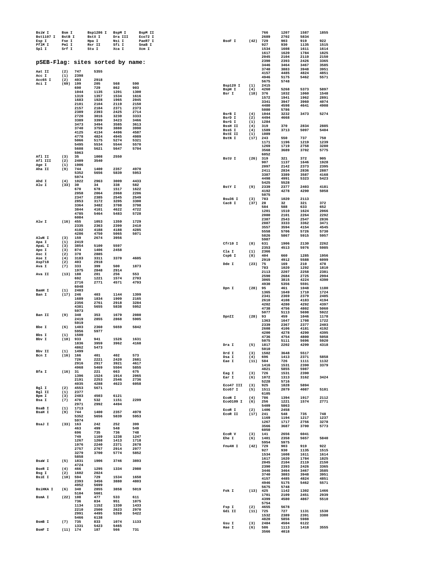| BsiW I<br><b>Bst1107 I</b> | Bsm I<br>BstB I   |              | Bsp1286 I<br>BstX I              | BspM I<br>Dra III | BspM II<br>Eco72 I |                          |             | 766<br>2689        | 1207<br>2702 | 1587<br>5834 | 1855         |
|----------------------------|-------------------|--------------|----------------------------------|-------------------|--------------------|--------------------------|-------------|--------------------|--------------|--------------|--------------|
| Esp I                      | Fse I             |              | Hpa I                            | Nsi I             | PaeR7 I            | BsoF I                   |             | $(42)$ 729         | 903          | 919          | 922          |
| PflM I                     | Pml I             |              | Rsr II                           | Sfi I             | SnaB I             |                          |             | 927                | 930          | 1135         | 1515         |
| Spl I                      | Srf I             |              | Stu I                            | Xca I             | Xcm I              |                          |             | 1534<br>1617       | 1608<br>1620 | 1611<br>1784 | 1614<br>1825 |
|                            |                   |              |                                  |                   |                    |                          |             | 2045               | 2104         | 2119         | 2150         |
|                            |                   |              | pSEB-Flag: sites sorted by name: |                   |                    |                          |             | 2390               | 2393         | 2426         | 3365         |
|                            |                   |              |                                  |                   |                    |                          |             | 3446<br>3740       | 3464<br>3883 | 3467<br>3948 | 3585<br>3951 |
| Aat II                     | (2)               | 747          | 5355                             |                   |                    |                          |             | 4157               | 4485         | 4824         | 4851         |
| Acc I<br>Acc65 I           | (1)<br>(2)        | 2398<br>403  | 2918                             |                   |                    |                          |             | 4946               | 5175         | 5462         | 5571         |
| Aci I                      | $(69)$ 199        |              | 205                              | 568               | 590                | Bsp120 I                 | (1)         | 5675<br>2415       | 5748         |              |              |
|                            |                   | 690          | 729                              | 862               | 903                | BspH I                   | (4)         | 4260               | 5268         | 5373         | 5897         |
|                            |                   | 1044<br>1319 | 1135<br>1357                     | 1201<br>1534      | 1300<br>1616       | Bsr I                    |             | $(18)$ 376         | 1032         | 1060         | 1548         |
|                            |                   | 1683         | 1928                             | 1965              | 2045               |                          |             | 1572<br>3341       | 1941<br>3947 | 1962<br>3960 | 2891<br>4074 |
|                            |                   | 2101         | 2104                             | 2119              | 2150               |                          |             | 4480               | 4598         | 4641         | 4908         |
|                            |                   | 2157<br>2389 | 2184<br>2393                     | 2371<br>2425      | 2373<br>2714       |                          |             | 5080               | 5786         |              |              |
|                            |                   | 2720         | 3016                             | 3230              | 3333               | BsrB I<br>BsrD I         | (4)<br>(2)  | 1044<br>4494       | 3232<br>4668 | 3473         | 5274         |
|                            |                   | 3389         | 3399                             | 3423              | 3466               | BsrG I                   | (1)         | 1284               |              |              |              |
|                            |                   | 3473<br>3740 | 3494<br>3759                     | 3585<br>3880      | 3613<br>3990       | <b>BssH II</b>           | (4)         | 319                | 370          | 2834         | 2885         |
|                            |                   | 4125         | 4134                             | 4496              | 4587               | BssS I                   | (4)         | 1589               | 3713         | 5097         | 5404         |
|                            |                   | 4778         | 4824                             | 4945              | 4989               | <b>BstE II</b><br>BstN I | (1)<br>(17) | 1089<br>243        | 550          | 737          | 750          |
|                            |                   | 5066<br>5495 | 5175<br>5534                     | 5274<br>5544      | 5321<br>5570       |                          |             | 1171               | 1196         | 1219         | 1239         |
|                            |                   | 5608         | 5621                             | 5647              | 5704               |                          |             | 1269               | 1719         | 2758         | 3280         |
|                            |                   | 5963         |                                  |                   |                    |                          |             | 3568<br>6052       | 3689         | 3702         | 5775         |
| Afl II<br>Afl III          | (3)               | 35           | 1008                             | 2550              |                    | BstU I                   |             | $(26)$ 319         | 321          | 372          | 905          |
| Age I                      | (2)<br>(1)        | 2409<br>1906 | 3540                             |                   |                    |                          |             | 907                | 1137         | 1646         | 1928         |
| Aha II                     | (9)               | 744          | 1400                             | 2357              | 4970               |                          |             | 2097<br>2411       | 2142<br>2834 | 2373<br>2836 | 2395<br>2887 |
|                            |                   | 5352         | 5656                             | 5839              | 5953               |                          |             | 3387               | 3389         | 3587         | 4168         |
| Ahd I                      | (4)               | 5974<br>1022 | 2963                             | 3009              | 4433               |                          |             | 4498               | 4991         | 5323         | 5423         |
| Alu I                      | (33)              | 30           | 34                               | 338               | 582                | BstY I                   | (9)         | 5425<br>2339       | 5528<br>2377 | 2403         | 4181         |
|                            |                   | 670          | 678                              | 1517              | 1622               |                          |             | 4192               | 4278         | 4290         | 5058         |
|                            |                   | 2058<br>2347 | 2064<br>2385                     | 2068<br>2545      | 2206<br>2549       |                          |             | 5075               |              |              |              |
|                            |                   | 2853         | 3172                             | 3205              | 3300               | Bsu36 I<br>Cac8 I        | (3)<br>(37) | 783<br>28          | 1020<br>32   | 2113<br>321  | 372          |
|                            |                   | 3364         | 3482                             | 3708              | 3798               |                          |             | 584                | 588          | 633          | 652          |
|                            |                   | 3844<br>4785 | 4101<br>5464                     | 4622<br>5483      | 4722<br>5728       |                          |             | 1201               | 1510         | 1624         | 2066         |
|                            |                   | 6084         |                                  |                   |                    |                          |             | 2080<br>2387       | 2101<br>2543 | 2264<br>2547 | 2292<br>2836 |
| Alw I                      | $(16)$ 455        |              | 1053                             | 1359              | 1729               |                          |             | 2887               | 3333         | 3362         | 3471         |
|                            |                   | 2335<br>4102 | 2363<br>4188                     | 2399<br>4188      | 2410<br>4285       |                          |             | 3557               | 3594         | 4154         | 4545         |
|                            |                   | 4286         | 4750                             | 5065              | 5071               |                          |             | 5558<br>5826       | 5706<br>5867 | 5726<br>5915 | 5730<br>5957 |
| AlwN I                     | (3)               | 159          | 2674                             | 3956              |                    |                          |             | 5987               |              |              |              |
| Apa I                      | (1)               | 2419<br>3854 | 5100                             | 5597              |                    | Cfr10 I                  | (8)         | 631                | 1906         | 2130         | 2262         |
| ApaL I<br>Apo I            | (3)<br>(3)        | 874          | 1406                             | 2458              |                    |                          |             | 2353               | 4513         | 5976         | 5985         |
| Asc I                      | (2)               | 370          | 2885                             |                   |                    | Cla I<br>Csp6 I          | (1)<br>(8)  | 2366<br>404        | 660          | 1285         | 1956         |
| Ase I<br>Asp718            | (4)<br>(2)        | 3183<br>403  | 3311<br>2918                     | 3370              | 4605               |                          |             | 2919               | 4912         | 5588         | 6099         |
| Ava I                      | (7)               | 333          | 399                              | 500               | 1873               | Dde I                    | (23)        | 75<br>783          | 169<br>1020  | 210<br>1292  | 478<br>1810  |
|                            |                   | 1975         | 2848                             | 2914              |                    |                          |             | 2113               | 2207         | 2258         | 2381         |
| Ava II                     | $(13)$ 188        | 692          | 201<br>1221                      | 256<br>1574       | 553<br>2703        |                          |             | 2590               | 2684         | 2725         | 2994         |
|                            |                   | 2716         | 2771                             | 4571              | 4793               |                          |             | 3065<br>4930       | 3815<br>5356 | 4224<br>5591 | 4390         |
|                            |                   | 6048         |                                  |                   |                    | Dpn I                    | $(28)$ 95   |                    | 461          | 1048         | 1180         |
| BamH I<br>Ban I            | (1)<br>$(17)$ 246 | 2403         | 403                              | 1144              | 1399               |                          |             | 1365               | 1649         | 1710         | 1724         |
|                            |                   | 1689         | 1834                             | 1909              | 2165               |                          |             | 2341<br>2610       | 2369<br>4108 | 2379<br>4183 | 2405<br>4194 |
|                            |                   | 2356<br>4381 | 2761<br>5655                     | 2918<br>5838      | 3284<br>5952       |                          |             | 4202               | 4280         | 4292         | 4397         |
|                            |                   | 5973         |                                  |                   |                    |                          |             | 4738               | 4756         | 4802         | 5060         |
| Ban II                     | (9)               | 340          | 353                              | 1679              | 2080               | DpnII                    | $(28)$ 93   | 5077               | 5113<br>459  | 5698<br>1046 | 5922<br>1178 |
|                            |                   | 2419<br>5919 | 2855                             | 2868              | 5905               |                          |             | 1363               | 1647         | 1708         | 1722         |
| Bbe I                      | (6)               | 1403         | 2360                             | 5659              | 5842               |                          |             | 2339<br>2608       | 2367<br>4106 | 2377<br>4181 | 2403<br>4192 |
|                            |                   | 5956         | 5977                             |                   |                    |                          |             | 4200               | 4278         | 4290         | 4395         |
| Bbs I<br>Bbv I             | (1)<br>(10)       | 1500<br>933  | 941                              | 1526              | 1631               |                          |             | 4736               | 4754         | 4800         | 5058         |
|                            |                   | 1836         | 3959                             | 3962              | 4168               | Dra I                    | (5)         | 5075<br>1817       | 5111<br>2202 | 5696<br>4299 | 5920<br>4318 |
| Bbv II                     | (1)               | 4862<br>1499 | 5473                             |                   |                    |                          |             | 5010               |              |              |              |
| Bcn I                      | $(16)$ 166        |              | 401                              | 402               | 573                | Drd I                    | (3)         | 1502               | 3648         | 5517         |              |
|                            |                   | 726          | 2221                             | 2420              | 2681               | Dsa I<br>Eae I           | (4)         | 696<br>$(11)$ 584  | 1413<br>726  | 2371<br>1111 | 5858<br>1132 |
|                            |                   | 2916         | 2917                             | 3921              | 4617               |                          |             | 1416               | 1531         | 2390         | 3379         |
| Bfa I                      | (16) 31           | 4968         | 5469<br>221                      | 5504<br>663       | 5855<br>675        |                          |             | 4821               | 5855         | 5987         |              |
|                            |                   | 1396         | 1524                             | 1914              | 2065               | Eag I<br>Ear I           | (3)<br>(6)  | 726<br>1072        | 1531<br>1313 | 2390<br>3162 | 3424         |
|                            |                   | 2191<br>4035 | 2253<br>4288                     | 2546<br>4623      | 2736<br>6058       |                          |             | 5228               | 5716         |              |              |
| Bgl I                      | (2)               | 4553         | 5671                             |                   |                    | Eco47 III<br>Eco57 I     | (3)<br>(5)  | 925<br>1511        | 1828<br>2079 | 5894<br>4087 | 5101         |
| Bgl II                     | (1)               | 2377         |                                  |                   |                    |                          |             | 6105               |              |              |              |
| Bpm I<br>Bsa I             | (3)<br>(7)        | 2483<br>478  | 4503<br>532                      | 6121<br>1151      | 2209               | ECON I                   | (4)         | 786                | 1394         | 1917         | 2112         |
|                            |                   | 2971         | 2992                             | 4494              |                    | Eco0109 I                | (6)         | 256<br>5409        | 1221<br>5863 | 1574         | 2771         |
| BsaB I                     | (1)               | 1713         |                                  |                   |                    | ECOR I                   | (2)         | 1406               | 2458         |              |              |
| <b>BsaH I</b>              | (9)               | 744<br>5352  | 1400<br>5656                     | 2357<br>5839      | 4970<br>5953       | ECOR II                  |             | $(17)$ 241         | 548          | 735          | 748          |
|                            |                   | 5974         |                                  |                   |                    |                          |             | 1169<br>1267       | 1194<br>1717 | 1217<br>2756 | 1237<br>3278 |
| BsaJ I                     | (33) 163          | 463          | 242<br>499                       | 252<br>548        | 399<br>549         |                          |             | 3566               | 3687         | 3700         | 5773         |
|                            |                   | 696          | 735                              | 736               | 748                |                          |             | 6050               |              |              |              |
|                            |                   | 749          | 1169                             | 1238              | 1247               | ECOR V<br>Ehe I          | (3)<br>(6)  | 141<br>1401        | 2656<br>2358 | 6041<br>5657 | 5840         |
|                            |                   | 1267<br>1976 | 1268<br>2240                     | 1413<br>2371      | 1718<br>2678       |                          |             | 5954               | 5975         |              |              |
|                            |                   | 2757         | 2767                             | 2914              | 2977               | Fnu4H I                  |             | $(42)$ 729         | 903          | 919          | 922          |
|                            |                   | 3279         | 3700                             | 5774              | 5852               |                          |             | 927<br>1534        | 930<br>1608  | 1135<br>1611 | 1515<br>1614 |
| BsaW I                     | (5)               | 5858         | 1906                             | 3746              | 3893               |                          |             | 1617               | 1620         | 1784         | 1825         |
|                            |                   | 1831<br>4724 |                                  |                   |                    |                          |             | 2045               | 2104         | 2119         | 2150         |
| BseR I                     | (4)               | 466          | 1295                             | 1334              | 2980               |                          |             | 2390<br>3446       | 2393<br>3464 | 2426<br>3467 | 3365<br>3585 |
| Bsg I<br><b>BsiE I</b>     | (2)<br>(10)       | 1602         | 2024<br>729                      | 1534              | 1650               |                          |             | 3740               | 3883         | 3948         | 3951         |
|                            |                   | 594<br>2393  | 3456                             | 3880              | 4803               |                          |             | 4157<br>4946       | 4485<br>5175 | 4824<br>5462 | 4851<br>5571 |
|                            |                   | 4952         | 5699                             |                   |                    |                          |             | 5675               | 5748         |              |              |
| <b>BSiHKA I</b>            | (6)               | 340<br>5104  | 2855<br>5601                     | 3858              | 5019               | Fok I                    |             | $(13)$ 425         | 1142         | 1302         | 1466         |
| BsmA I                     | $(22)$ 108        |              | 477                              | 533               | 611                |                          |             | 1701<br>4399       | 2109<br>4580 | 2451<br>4867 | 2939<br>5510 |
|                            |                   | 736<br>1134  | 834<br>1152                      | 951<br>1330       | 1075<br>1433       |                          |             | 5754               |              |              |              |
|                            |                   | 2210         | 2500                             | 2623              | 2970               | Fsp I<br>Gdi II          | (2)         | 4655               | 5678         |              |              |
|                            |                   | 2991         | 4495                             | 5269              | 5422               |                          |             | $(11)$ 725<br>1532 | 727<br>2389  | 1131<br>2391 | 1530<br>3380 |
|                            |                   | 5466         | 6138                             |                   |                    |                          |             | 4820               | 5856         | 5988         |              |
| BsmB I                     | (7)               | 735<br>1331  | 833<br>5423                      | 1074<br>5465      | 1133               | Gsu I                    | (3)         | 2484               | 4504         | 6122         |              |
| BsmF I                     | $(11)$ 174        |              | 187                              | 566               | 731                | Hae I                    | (6)         | 586<br>3566        | 1113<br>4018 | 1418         | 3555         |
|                            |                   |              |                                  |                   |                    |                          |             |                    |              |              |              |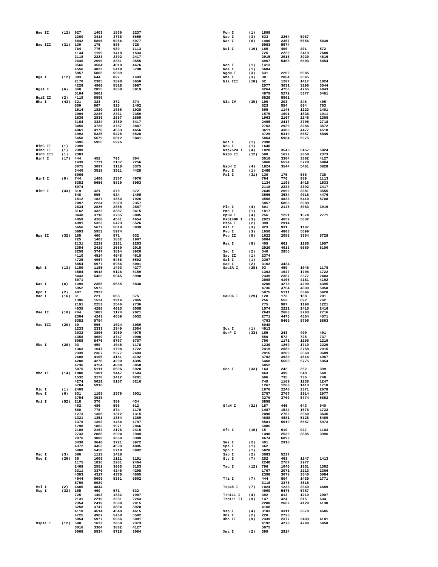| Hae II   | (12)       | 927                 | 1403         | 1830         | 2237         | Mun I          | (1)        | 1899         |              |              |              |
|----------|------------|---------------------|--------------|--------------|--------------|----------------|------------|--------------|--------------|--------------|--------------|
|          |            | 2360                | 3418         | 3788         | 5659         | Nae I          | (3)        | 633          | 2264         | 5987         |              |
|          |            | 5842                | 5896         | 5956         | 5977         | Nar I          | (6)        | 1400         | 2357         | 5656         | 5839         |
| Hae III  | $(31)$ 130 |                     | 175          | 586          | 728          |                |            | 5953         | 5974         |              |              |
|          |            | 764                 | 776          | 989          | 1113         | Nci I          | (16)       | 165          | 400          | 401          | 572          |
|          |            | 1134<br>2118        | 1199<br>2223 | 1418<br>2392 | 1533<br>2417 |                |            | 725<br>2915  | 2220<br>2916 | 2419<br>3920 | 2680<br>4616 |
|          |            | 2645                | 2690         | 3381         | 3555         |                |            | 4967         | 5468         | 5503         | 5854         |
|          |            | 3566                | 3584         | 4018         | 4476         | Nco I          | (1)        | 1413         |              |              |              |
|          |            | 4556                | 4823         | 5410         | 5708         | Nde I          | (1)        | 5604         |              |              |              |
|          |            | 5857                | 5865         | 5989         |              | NgoM I         | (3)        | 631          | 2262         | 5985         |              |
| Hga I    | (12)       | 383                 | 644          | 897          | 1493         | Nhe I          | (3)        | 30           | 2064         | 2545         |              |
|          |            | 2170                | 2385         | 2898         | 3650         | Nla III        | (18)       | 62           | 1207         | 1417         | 1824         |
|          |            | 4228                | 4960         | 5518         | 5987         |                |            | 2577         | 3031         | 3198         | 3544         |
| HgiA I   | (6)        | 340                 | 2855         | 3858         | 5019         |                |            | 4264         | 4755         | 4765         | 4843         |
|          |            | 5104                | 5601         |              |              |                |            | 4879         | 5272         | 5377         | 5461         |
| HgiE II  | (2)        | 4119                | 5599         |              |              |                |            | 5828         | 5901         |              |              |
| Hha I    | (43)       | 321                 | 323          | 372          | 374          | Nla IV         | (39)       | 190          | 203          | 248          | 405          |
|          |            | 650<br>1514         | 907<br>1829  | 926<br>1856  | 1402<br>1928 |                |            | 523<br>895   | 554<br>1146  | 694<br>1223  | 763<br>1401  |
|          |            | 2099                | 2236         | 2331         | 2359         |                |            | 1575         | 1691         | 1836         | 1911         |
|          |            | 2836                | 2838         | 2887         | 2889         |                |            | 1963         | 2167         | 2246         | 2358         |
|          |            | 3164                | 3324         | 3389         | 3417         |                |            | 2405         | 2417         | 2705         | 2718         |
|          |            | 3450                | 3720         | 3787         | 3887         |                |            | 2763         | 2920         | 3286         | 3572         |
|          |            | 4061                | 4170         | 4563         | 4656         |                |            | 3611         | 4383         | 4477         | 4518         |
|          |            | 4993                | 5325         | 5425         | 5528         |                |            | 4729         | 5319         | 5657         | 5840         |
|          |            | 5658                | 5679         | 5812         | 5841         |                |            | 5864         | 5954         | 5975         |              |
|          |            | 5895                | 5955         | 5976         |              | Not I          | (1)        | 2390         |              |              |              |
| HinC II  | (1)        | 2399                |              |              |              | Nru I          | (1)        | 1646         |              |              |              |
| Hind II  | (1)        | 2399                |              |              |              | Nsp7524 I      | (4)        | 1820         | 3540         | 5457         | 5824         |
| HinD III | (1)        | 2383                |              |              |              | NspB II        | (12)       | 590          | 1622         | 2058         | 2373         |
| Hinf I   | (17)       | 444                 | 452          | 793          | 804          |                |            | 3016         | 3364         | 3882         | 4127         |
|          |            | 1439                | 1771         | 2137         | 2256         |                |            | 5068         | 5534         | 5728         | 6084         |
|          |            | 3075                | 3097         | 3118         | 3375         | NspH I         | (4)        | 1824         | 3544         | 5461         | 5828         |
|          |            | 3440<br>6066        | 3515         | 3911         | 4428         | Pac I<br>Pal I | (1)        | 2468<br>130  | 175          | 586          | 728          |
| HinI I   | (9)        | 744                 | 1400         | 2357         | 4970         |                | (31)       | 764          | 776          | 989          | 1113         |
|          |            | 5352                | 5656         | 5839         | 5953         |                |            | 1134         | 1199         | 1418         | 1533         |
|          |            | 5974                |              |              |              |                |            | 2118         | 2223         | 2392         | 2417         |
| HinP I   | (43)       | 319                 | 321          | 370          | 372          |                |            | 2645         | 2690         | 3381         | 3555         |
|          |            | 648                 | 905          | 924          | 1400         |                |            | 3566         | 3584         | 4018         | 4476         |
|          |            | 1512                | 1827         | 1854         | 1926         |                |            | 4556         | 4823         | 5410         | 5708         |
|          |            | 2097                | 2234         | 2329         | 2357         |                |            | 5857         | 5865         | 5989         |              |
|          |            | 2834                | 2836         | 2885         | 2887         | Ple I          | (4)        | 801          | 2145         | 3083         | 3919         |
|          |            | 3162                | 3322         | 3387         | 3415         | Pme I          | (1)        | 1817         |              |              |              |
|          |            | 3448                | 3718         | 3785         | 3885         | PpuM I         | (4)        | 256          | 1221         | 1574         | 2771         |
|          |            | 4059                | 4168         | 4561         | 4654         | Psp1406 I      | (3)        | 2021         | 4659         | 5032         |              |
|          |            | 4991                | 5323         | 5423         | 5526         | PspA I         | (2)        | 399          | 2914         |              |              |
|          |            | 5656                | 5677         | 5810         | 5839         | Pst I          | (3)        | 923          | 931          | 1107         |              |
|          |            | 5893                | 5953         | 5974         |              | Pvu I          | (3)        | 1650         | 4803         | 5699         |              |
| Hpa II   | (32)       | 165                 | 400          | 571          | 632          | Pvu II         | (5)        | 1622         | 2058         | 3364         | 5728         |
|          |            | 725                 | 1403         | 1832         | 1907         |                |            | 6084         |              |              |              |
|          |            | 2131                | 2219         | 2231         | 2263         | Rsa I          | (8)        | 405          | 661          | 1286         | 1957         |
|          |            | 2354<br>3258        | 2419<br>3747 | 2680<br>3894 | 2915<br>3920 | Sac I          | (2)        | 2920<br>340  | 4913<br>2855 | 5589         | 6100         |
|          |            | 4110                | 4514         | 4548         | 4615         | Sac II         | (1)        | 2374         |              |              |              |
|          |            | 4725                | 4967         | 5468         | 5502         | Sal I          | (1)        | 2397         |              |              |              |
|          |            | 5854                | 5977         | 5986         | 6001         | Sap I          | (2)        | 3162         | 3424         |              |              |
| Hph I    | (13)       | 1159                | 1185         | 1403         | 4277         | Sau3A I        | (28)       | 93           | 459          | 1046         | 1178         |
|          |            | 4504                | 4918         | 5126         | 5159         |                |            | 1363         | 1647         | 1708         | 1722         |
|          |            | 5443                | 5452         | 5945         | 5990         |                |            | 2339         | 2367         | 2377         | 2403         |
|          |            | 6071                |              |              |              |                |            | 2608         | 4106         | 4181         | 4192         |
| Kas I    | (6)        | 1399                | 2356         | 5655         | 5838         |                |            | 4200         | 4278         | 4290         | 4395         |
|          |            | 5952                | 5973         |              |              |                |            | 4736         | 4754         | 4800         | 5058         |
| Kpn I    | (2)        | 407                 | 2922         |              |              |                |            | 5075         | 5111         | 5696         | 5920         |
| Mae I    | (16)       | 31                  | 221          | 663          | 675          | Sau96 I        | (29)       | 128          | 173          | 188          | 201          |
|          |            | 1396                | 1524         | 1914         | 2065         |                |            | 256          | 553          | 692          | 762          |
|          |            | 2191                | 2253         | 2546         | 2736         |                |            | 775          | 987          | 1198         | 1221         |
|          |            | 4035                | 4288         | 4623         | 6058         |                |            | 1574         | 2221         | 2415         | 2416         |
| Mae II   | (10)       | 744                 | 1083         | 1124         | 2021         |                |            | 2643<br>2771 | 2688<br>4475 | 2703         | 2716         |
|          |            | 2304<br>5352        | 4243<br>5794 | 4659         | 5032         |                |            | 4793         | 5409         | 4554<br>5706 | 4571<br>5863 |
| Mae III  | (20)       | 39                  | 996          | 1024         | 1089         |                |            | 6048         |              |              |              |
|          |            | 1233                | 2333         | 2349         | 2554         | Sca I          | (1)        | 4913         |              |              |              |
|          |            | 3032                | 3896         | 3959         | 4075         | SCrF I         | (33)       | 165          | 243          | 400          | 401          |
|          |            | 4358                | 4689         | 4747         | 4900         |                |            | 550          | 572          | 725          | 737          |
|          |            | 5088                | 5476         | 5767         | 5787         |                |            | 750          | 1171         | 1196         | 1219         |
| Mbo I    | (28)       | 93                  | 459          | 1046         | 1178         |                |            | 1239         | 1269         | 1719         | 2220         |
|          |            | 1363                | 1647         | 1708         | 1722         |                |            | 2419         | 2680         | 2758         | 2915         |
|          |            | 2339                | 2367         | 2377         | 2403         |                |            | 2916         | 3280         | 3568         | 3689         |
|          |            | 2608                | 4106         | 4181         | 4192         |                |            | 3702         | 3920         | 4616         | 4967         |
|          |            | 4200                | 4278         | 4290         | 4395         |                |            | 5468         | 5503         | 5775         | 5854         |
|          |            | 4736                | 4754         | 4800         | 5058         |                |            | 6052         |              |              |              |
| Mbo II   |            | 5075<br>$(14)$ 1088 | 5111<br>1301 | 5696<br>1447 | 5920<br>1504 | Sec I          | (33) 163   | 463          | 242<br>499   | 252<br>548   | 399<br>549   |
|          |            | 1532                | 3178         | 3412         | 4201         |                |            | 696          | 735          | 736          | 748          |
|          |            | 4274                | 5029         |              |              |                |            |              |              |              | 1247         |
|          |            |                     |              |              |              |                |            |              |              |              |              |
| Mlu I    |            | 5704                |              | 5107         | 5216         |                |            | 749<br>1267  | 1169<br>1268 | 1238<br>1413 | 1718         |
| Mme I    | (1)        | 2409                | 5916         |              |              |                |            | 1976         | 2240         | 2371         | 2678         |
|          | (6)        | 831                 | 1108         | 2979         | 3031         |                |            | 2757         | 2767         | 2914         | 2977         |
|          |            | 3754                | 3938         |              |              |                |            | 3279         | 3700         | 5774         | 5852         |
| Mnl I    | (52)       | 218                 | 370          | 389          | 434          |                |            | 5858         |              |              |              |
|          |            | 462                 | 486          | 508          | 512          | SfaN I         | $(21)$ 187 |              | 446          | 643          | 940          |
|          |            | 568                 | 778          | 874          | 1170         |                |            | 1487         | 1544         | 1676         | 1722         |
|          |            | 1273                | 1306         | 1312         | 1315         |                |            | 2090         | 2702         | 2960         | 3636         |
|          |            | 1321                | 1351         | 1354         | 1369         |                |            | 4688         | 4881         | 5128         | 5489         |
|          |            | 1376                | 1392         | 1456         | 1797         |                |            | 5581         | 5619         | 5657         | 5973         |
|          |            | 1798                | 1882         | 1971         | 2066         |                |            | 5985         |              |              |              |
|          |            | 2108                | 2162         | 2178         | 2415         | Sfc I          | $(10)$ 15  |              | 919          | 927          | 1103         |
|          |            | 2733                | 2885         | 2904         | 2949         |                |            | 1498         | 2530         | 3805         | 3996         |
|          |            | 2976<br>3438        | 3000<br>3648 | 3060<br>3721 | 3389<br>3972 | Sma I          | (2)        | 4674<br>401  | 6092<br>2916 |              |              |
|          |            | 4372                | 4453         | 4599         | 4805         | Spe I          | (1)        | 662          |              |              |              |
|          |            | 5400                | 5458         | 5718         | 6002         | Sph I          | (1)        | 5828         |              |              |              |
| Msc I    | (3)        | 586                 | 1113         | 1418         |              | Ssp I          | (2)        | 3083         | 5237         |              |              |
| Mse I    | (26) 36    |                     | 1009         | 1121         | 1151         | Sty I          | (7)        | 252          | 463          | 1247         | 1413         |
|          |            | 1175                | 1816         | 2201         | 2464         |                |            | 2240         | 2767         | 2977         |              |
|          |            | 2468                | 2551         | 3085         | 3183         | Taq I          | (12)       | 796          | 1040         | 1351         | 1362         |
|          |            | 3311                | 3370         | 4246         | 4298         |                |            | 1707         | 2071         | 2213         | 2366         |
|          |            | 4303                | 4317         | 4370         | 4605         |                |            | 2398         | 3078         | 3640         | 5084         |
|          |            | 4644                | 5009         | 5381         | 5562         | Tfi I          | (7)        | 444          | 804          | 1439         | 1771         |
|          |            | 5759                | 6029         |              |              |                |            | 3118         | 3375         | 3515         |              |
| Msl I    | (2)        | 4685                | 4844         |              |              | Tsp45 I        | (7)        | 1024         | 1233         | 2349         | 4689         |
| Msp I    | $(32)$ 165 |                     | 400          | 571          | 632          |                |            | 4900         | 5476         | 5787         |              |
|          |            | 725                 | 1403         | 1832         | 1907         | Tth111 I       | (4)        | 392          | 813          | 1219         | 2907         |
|          |            | 2131<br>2354        | 2219<br>2419 | 2231<br>2680 | 2263<br>2915 | Tth111 II      | (9)        | 147<br>2280  | 424<br>2662  | 615<br>4129  | 634<br>4138  |
|          |            | 3258                |              | 3894         | 3920         |                |            | 4168         |              |              |              |
|          |            | 4110                | 3747<br>4514 | 4548         | 4615         | Vsp I          | (4)        | 3183         | 3311         | 3370         | 4605         |
|          |            | 4725                | 4967         | 5468         | 5502         | Xba I          | (2)        | 220          | 2735         |              |              |
|          |            | 5854                | 5977         | 5986         | 6001         | Xho II         | (9)        | 2339         | 2377         | 2403         | 4181         |
| MspA1 I  | $(12)$ 590 |                     | 1622         | 2058         | 2373         |                |            | 4192         | 4278         | 4290         | 5058         |
|          |            | 3016<br>5068        | 3364<br>5534 | 3882<br>5728 | 4127<br>6084 | Xma I          | (2)        | 5075<br>399  | 2914         |              |              |